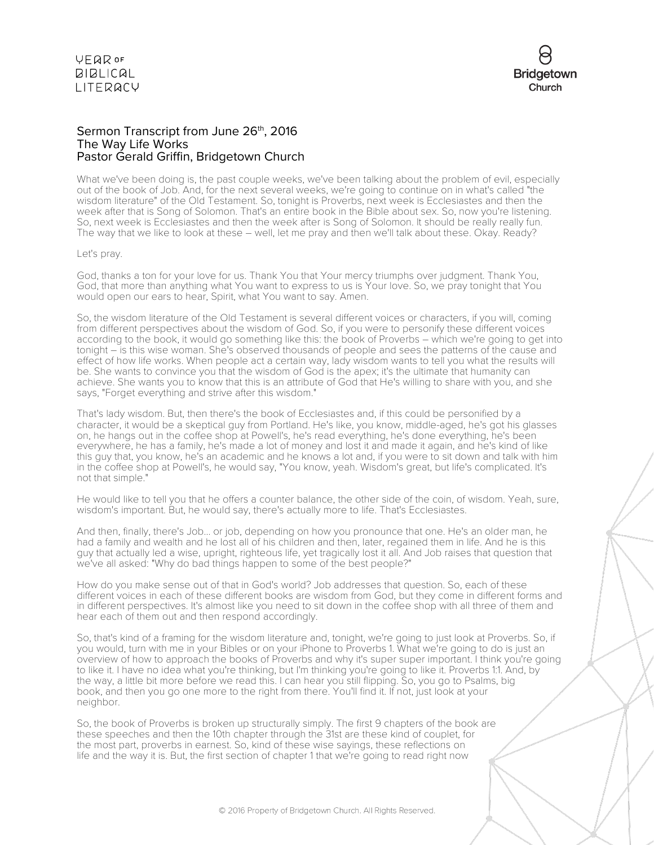

## Sermon Transcript from June 26<sup>th</sup>, 2016 The Way Life Works Pastor Gerald Griffin, Bridgetown Church

What we've been doing is, the past couple weeks, we've been talking about the problem of evil, especially out of the book of Job. And, for the next several weeks, we're going to continue on in what's called "the wisdom literature" of the Old Testament. So, tonight is Proverbs, next week is Ecclesiastes and then the week after that is Song of Solomon. That's an entire book in the Bible about sex. So, now you're listening. So, next week is Ecclesiastes and then the week after is Song of Solomon. It should be really really fun. The way that we like to look at these – well, let me pray and then we'll talk about these. Okay. Ready?

### Let's pray.

God, thanks a ton for your love for us. Thank You that Your mercy triumphs over judgment. Thank You, God, that more than anything what You want to express to us is Your love. So, we pray tonight that You would open our ears to hear, Spirit, what You want to say. Amen.

So, the wisdom literature of the Old Testament is several different voices or characters, if you will, coming from different perspectives about the wisdom of God. So, if you were to personify these different voices according to the book, it would go something like this: the book of Proverbs – which we're going to get into tonight – is this wise woman. She's observed thousands of people and sees the patterns of the cause and effect of how life works. When people act a certain way, lady wisdom wants to tell you what the results will be. She wants to convince you that the wisdom of God is the apex; it's the ultimate that humanity can achieve. She wants you to know that this is an attribute of God that He's willing to share with you, and she says, "Forget everything and strive after this wisdom."

That's lady wisdom. But, then there's the book of Ecclesiastes and, if this could be personified by a character, it would be a skeptical guy from Portland. He's like, you know, middle-aged, he's got his glasses on, he hangs out in the coffee shop at Powell's, he's read everything, he's done everything, he's been everywhere, he has a family, he's made a lot of money and lost it and made it again, and he's kind of like this guy that, you know, he's an academic and he knows a lot and, if you were to sit down and talk with him in the coffee shop at Powell's, he would say, "You know, yeah. Wisdom's great, but life's complicated. It's not that simple."

He would like to tell you that he offers a counter balance, the other side of the coin, of wisdom. Yeah, sure, wisdom's important. But, he would say, there's actually more to life. That's Ecclesiastes.

And then, finally, there's Job... or job, depending on how you pronounce that one. He's an older man, he had a family and wealth and he lost all of his children and then, later, regained them in life. And he is this guy that actually led a wise, upright, righteous life, yet tragically lost it all. And Job raises that question that we've all asked: "Why do bad things happen to some of the best people?"

How do you make sense out of that in God's world? Job addresses that question. So, each of these different voices in each of these different books are wisdom from God, but they come in different forms and in different perspectives. It's almost like you need to sit down in the coffee shop with all three of them and hear each of them out and then respond accordingly.

So, that's kind of a framing for the wisdom literature and, tonight, we're going to just look at Proverbs. So, if you would, turn with me in your Bibles or on your iPhone to Proverbs 1. What we're going to do is just an overview of how to approach the books of Proverbs and why it's super super important. I think you're going to like it. I have no idea what you're thinking, but I'm thinking you're going to like it. Proverbs 1:1. And, by the way, a little bit more before we read this. I can hear you still flipping. So, you go to Psalms, big book, and then you go one more to the right from there. You'll find it. If not, just look at your neighbor.

So, the book of Proverbs is broken up structurally simply. The first 9 chapters of the book are these speeches and then the 10th chapter through the 31st are these kind of couplet, for the most part, proverbs in earnest. So, kind of these wise sayings, these reflections on life and the way it is. But, the first section of chapter 1 that we're going to read right now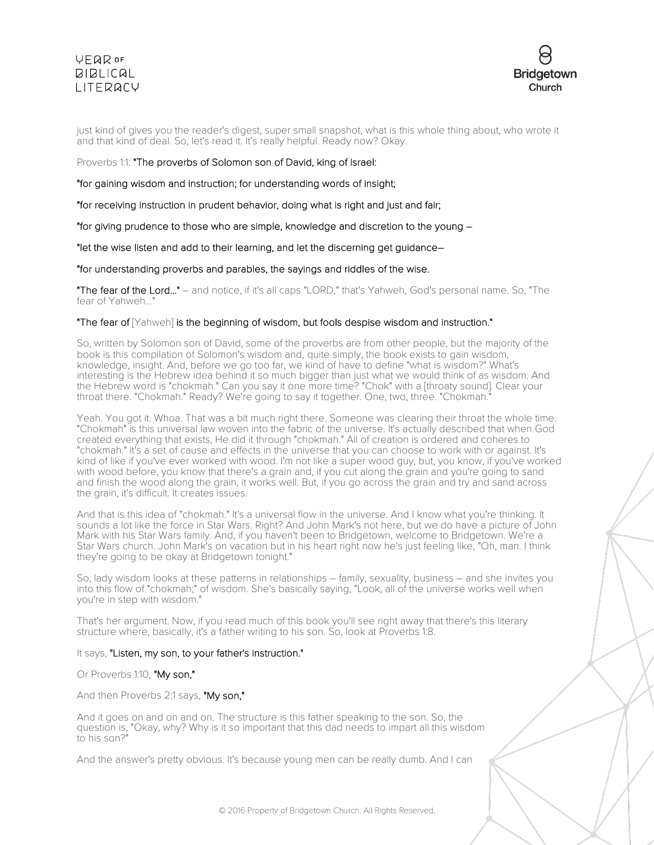

just kind of gives you the reader's digest, super small snapshot, what is this whole thing about, who wrote it and that kind of deal. So, let's read it. It's really helpful. Ready now? Okay.

Proverbs 1:1: "The proverbs of Solomon son of David, king of Israel:

"for gaining wisdom and instruction; for understanding words of insight;

"for receiving instruction in prudent behavior, doing what is right and just and fair;

"for giving prudence to those who are simple, knowledge and discretion to the young –

"let the wise listen and add to their learning, and let the discerning get guidance–

"for understanding proverbs and parables, the sayings and riddles of the wise.

"The fear of the Lord..." – and notice, if it's all caps "LORD," that's Yahweh, God's personal name. So, "The fear of Yahweh...

## "The fear of  $\lceil$ Yahweh] is the beginning of wisdom, but fools despise wisdom and instruction."

So, written by Solomon son of David, some of the proverbs are from other people, but the majority of the book is this compilation of Solomon's wisdom and, quite simply, the book exists to gain wisdom, knowledge, insight. And, before we go too far, we kind of have to define "what is wisdom?" What's interesting is the Hebrew idea behind it so much bigger than just what we would think of as wisdom. And the Hebrew word is "chokmah." Can you say it one more time? "Chok" with a [throaty sound]. Clear your throat there. "Chokmah." Ready? We're going to say it together. One, two, three. "Chokmah."

Yeah. You got it. Whoa. That was a bit much right there. Someone was clearing their throat the whole time. "Chokmah" is this universal law woven into the fabric of the universe. It's actually described that when God created everything that exists, He did it through "chokmah." All of creation is ordered and coheres to "chokmah." It's a set of cause and effects in the universe that you can choose to work with or against. It's kind of like if you've ever worked with wood. I'm not like a super wood guy, but, you know, if you've worked with wood before, you know that there's a grain and, if you cut along the grain and you're going to sand and finish the wood along the grain, it works well. But, if you go across the grain and try and sand across the grain, it's difficult. It creates issues.

And that is this idea of "chokmah." It's a universal flow in the universe. And I know what you're thinking. It sounds a lot like the force in Star Wars. Right? And John Mark's not here, but we do have a picture of John Mark with his Star Wars family. And, if you haven't been to Bridgetown, welcome to Bridgetown. We're a Star Wars church. John Mark's on vacation but in his heart right now he's just feeling like, "Oh, man. I think they're going to be okay at Bridgetown tonight."

So, lady wisdom looks at these patterns in relationships – family, sexuality, business – and she invites you into this flow of "chokmah;" of wisdom. She's basically saying, "Look, all of the universe works well when you're in step with wisdom."

That's her argument. Now, if you read much of this book you'll see right away that there's this literary structure where, basically, it's a father writing to his son. So, look at Proverbs 1:8.

## It says, "Listen, my son, to your father's instruction."

Or Proverbs 1:10, "My son,"

And then Proverbs 2:1 says, "My son,"

And it goes on and on and on. The structure is this father speaking to the son. So, the question is, "Okay, why? Why is it so important that this dad needs to impart all this wisdom to his son?

And the answer's pretty obvious. It's because young men can be really dumb. And I can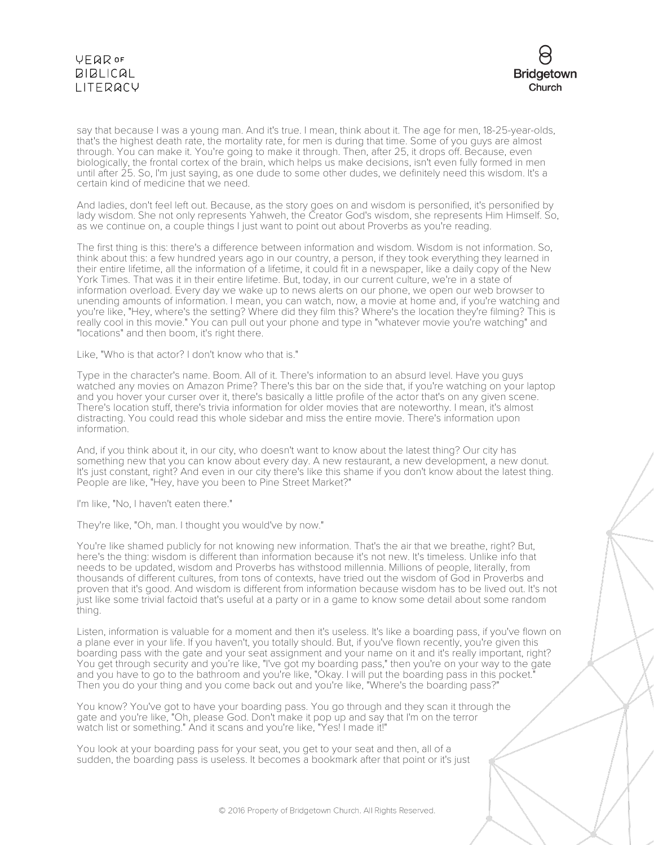

say that because I was a young man. And it's true. I mean, think about it. The age for men, 18-25-year-olds, that's the highest death rate, the mortality rate, for men is during that time. Some of you guys are almost through. You can make it. You're going to make it through. Then, after 25, it drops off. Because, even biologically, the frontal cortex of the brain, which helps us make decisions, isn't even fully formed in men until after 25. So, I'm just saying, as one dude to some other dudes, we definitely need this wisdom. It's a certain kind of medicine that we need.

And ladies, don't feel left out. Because, as the story goes on and wisdom is personified, it's personified by lady wisdom. She not only represents Yahweh, the Creator God's wisdom, she represents Him Himself. So, as we continue on, a couple things I just want to point out about Proverbs as you're reading.

The first thing is this: there's a difference between information and wisdom. Wisdom is not information. So, think about this: a few hundred years ago in our country, a person, if they took everything they learned in their entire lifetime, all the information of a lifetime, it could fit in a newspaper, like a daily copy of the New York Times. That was it in their entire lifetime. But, today, in our current culture, we're in a state of information overload. Every day we wake up to news alerts on our phone, we open our web browser to unending amounts of information. I mean, you can watch, now, a movie at home and, if you're watching and you're like, "Hey, where's the setting? Where did they film this? Where's the location they're filming? This is really cool in this movie." You can pull out your phone and type in "whatever movie you're watching" and "locations" and then boom, it's right there.

Like, "Who is that actor? I don't know who that is."

Type in the character's name. Boom. All of it. There's information to an absurd level. Have you guys watched any movies on Amazon Prime? There's this bar on the side that, if you're watching on your laptop and you hover your curser over it, there's basically a little profile of the actor that's on any given scene. There's location stuff, there's trivia information for older movies that are noteworthy. I mean, it's almost distracting. You could read this whole sidebar and miss the entire movie. There's information upon information.

And, if you think about it, in our city, who doesn't want to know about the latest thing? Our city has something new that you can know about every day. A new restaurant, a new development, a new donut. It's just constant, right? And even in our city there's like this shame if you don't know about the latest thing. People are like, "Hey, have you been to Pine Street Market?"

I'm like, "No, I haven't eaten there."

They're like, "Oh, man. I thought you would've by now."

You're like shamed publicly for not knowing new information. That's the air that we breathe, right? But, here's the thing: wisdom is different than information because it's not new. It's timeless. Unlike info that needs to be updated, wisdom and Proverbs has withstood millennia. Millions of people, literally, from thousands of different cultures, from tons of contexts, have tried out the wisdom of God in Proverbs and proven that it's good. And wisdom is different from information because wisdom has to be lived out. It's not just like some trivial factoid that's useful at a party or in a game to know some detail about some random thing.

Listen, information is valuable for a moment and then it's useless. It's like a boarding pass, if you've flown on a plane ever in your life. If you haven't, you totally should. But, if you've flown recently, you're given this boarding pass with the gate and your seat assignment and your name on it and it's really important, right? You get through security and you're like, "I've got my boarding pass," then you're on your way to the gate and you have to go to the bathroom and you're like, "Okay. I will put the boarding pass in this pocket." Then you do your thing and you come back out and you're like, "Where's the boarding pass?"

You know? You've got to have your boarding pass. You go through and they scan it through the gate and you're like, "Oh, please God. Don't make it pop up and say that I'm on the terror watch list or something." And it scans and you're like, "Yes! I made it!"

You look at your boarding pass for your seat, you get to your seat and then, all of a sudden, the boarding pass is useless. It becomes a bookmark after that point or it's just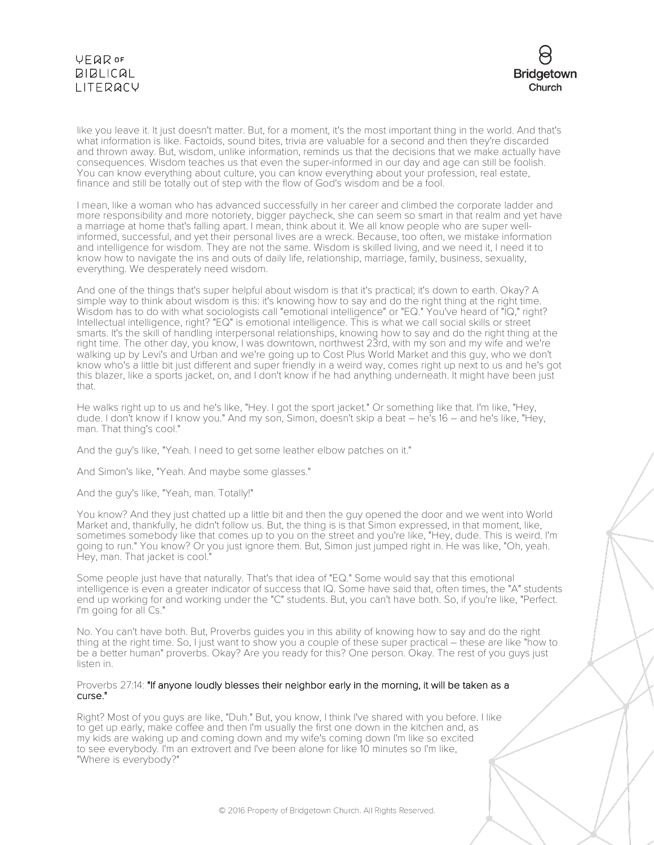

like you leave it. It just doesn't matter. But, for a moment, it's the most important thing in the world. And that's what information is like. Factoids, sound bites, trivia are valuable for a second and then they're discarded and thrown away. But, wisdom, unlike information, reminds us that the decisions that we make actually have consequences. Wisdom teaches us that even the super-informed in our day and age can still be foolish. You can know everything about culture, you can know everything about your profession, real estate, finance and still be totally out of step with the flow of God's wisdom and be a fool.

I mean, like a woman who has advanced successfully in her career and climbed the corporate ladder and more responsibility and more notoriety, bigger paycheck, she can seem so smart in that realm and yet have a marriage at home that's falling apart. I mean, think about it. We all know people who are super wellinformed, successful, and yet their personal lives are a wreck. Because, too often, we mistake information and intelligence for wisdom. They are not the same. Wisdom is skilled living, and we need it, I need it to know how to navigate the ins and outs of daily life, relationship, marriage, family, business, sexuality, everything. We desperately need wisdom.

And one of the things that's super helpful about wisdom is that it's practical; it's down to earth. Okay? A simple way to think about wisdom is this: it's knowing how to say and do the right thing at the right time. Wisdom has to do with what sociologists call "emotional intelligence" or "EQ." You've heard of "IQ," right? Intellectual intelligence, right? "EQ" is emotional intelligence. This is what we call social skills or street smarts. It's the skill of handling interpersonal relationships, knowing how to say and do the right thing at the right time. The other day, you know, I was downtown, northwest 23rd, with my son and my wife and we're walking up by Levi's and Urban and we're going up to Cost Plus World Market and this guy, who we don't know who's a little bit just different and super friendly in a weird way, comes right up next to us and he's got this blazer, like a sports jacket, on, and I don't know if he had anything underneath. It might have been just that.

He walks right up to us and he's like, "Hey. I got the sport jacket." Or something like that. I'm like, "Hey, dude. I don't know if I know you." And my son, Simon, doesn't skip a beat – he's 16 – and he's like, "Hey, man. That thing's cool."

And the guy's like, "Yeah. I need to get some leather elbow patches on it."

And Simon's like, "Yeah. And maybe some glasses."

And the guy's like, "Yeah, man. Totally!"

You know? And they just chatted up a little bit and then the guy opened the door and we went into World Market and, thankfully, he didn't follow us. But, the thing is is that Simon expressed, in that moment, like, sometimes somebody like that comes up to you on the street and you're like, "Hey, dude. This is weird. I'm going to run." You know? Or you just ignore them. But, Simon just jumped right in. He was like, "Oh, yeah. Hey, man. That jacket is cool.

Some people just have that naturally. That's that idea of "EQ." Some would say that this emotional intelligence is even a greater indicator of success that IQ. Some have said that, often times, the "A" students end up working for and working under the "C" students. But, you can't have both. So, if you're like, "Perfect. I'm going for all Cs."

No. You can't have both. But, Proverbs guides you in this ability of knowing how to say and do the right thing at the right time. So, I just want to show you a couple of these super practical – these are like "how to be a better human" proverbs. Okay? Are you ready for this? One person. Okay. The rest of you guys just listen in.

### Proverbs 27:14: "If anyone loudly blesses their neighbor early in the morning, it will be taken as a curse."

Right? Most of you guys are like, "Duh." But, you know, I think I've shared with you before. I like to get up early, make coffee and then I'm usually the first one down in the kitchen and, as my kids are waking up and coming down and my wife's coming down I'm like so excited to see everybody. I'm an extrovert and I've been alone for like 10 minutes so I'm like, "Where is everybody?"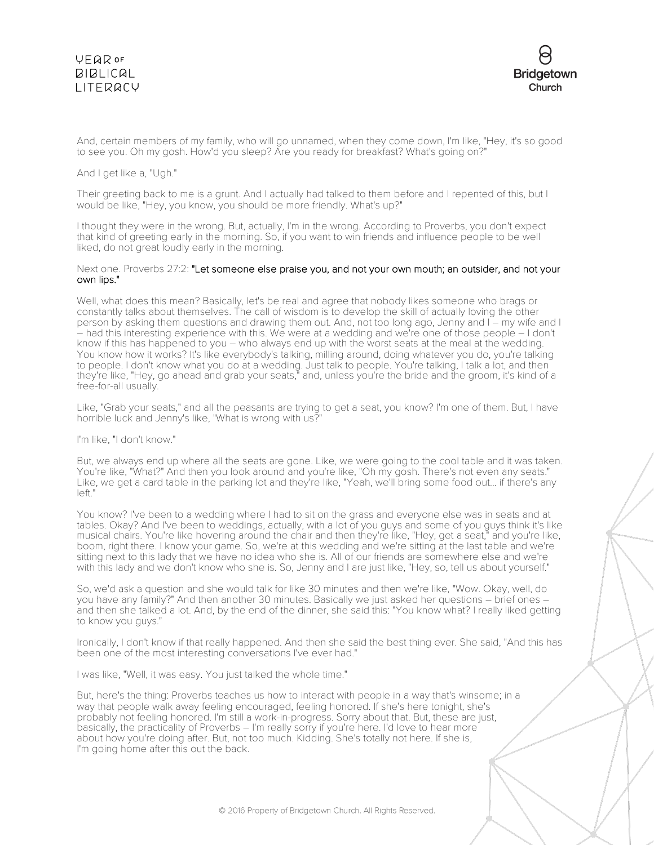

And, certain members of my family, who will go unnamed, when they come down, I'm like, "Hey, it's so good to see you. Oh my gosh. How'd you sleep? Are you ready for breakfast? What's going on?"

### And I get like a, "Ugh."

Their greeting back to me is a grunt. And I actually had talked to them before and I repented of this, but I would be like, "Hey, you know, you should be more friendly. What's up?"

I thought they were in the wrong. But, actually, I'm in the wrong. According to Proverbs, you don't expect that kind of greeting early in the morning. So, if you want to win friends and influence people to be well liked, do not great loudly early in the morning.

#### Next one. Proverbs 27:2: "Let someone else praise you, and not your own mouth; an outsider, and not your own lips."

Well, what does this mean? Basically, let's be real and agree that nobody likes someone who brags or constantly talks about themselves. The call of wisdom is to develop the skill of actually loving the other person by asking them questions and drawing them out. And, not too long ago, Jenny and I – my wife and I – had this interesting experience with this. We were at a wedding and we're one of those people – I don't know if this has happened to you – who always end up with the worst seats at the meal at the wedding. You know how it works? It's like everybody's talking, milling around, doing whatever you do, you're talking to people. I don't know what you do at a wedding. Just talk to people. You're talking, I talk a lot, and then they're like, "Hey, go ahead and grab your seats," and, unless you're the bride and the groom, it's kind of a free-for-all usually.

Like, "Grab your seats," and all the peasants are trying to get a seat, you know? I'm one of them. But, I have horrible luck and Jenny's like, "What is wrong with us?"

#### I'm like, "I don't know."

But, we always end up where all the seats are gone. Like, we were going to the cool table and it was taken. You're like, "What?" And then you look around and you're like, "Oh my gosh. There's not even any seats." Like, we get a card table in the parking lot and they're like, "Yeah, we'll bring some food out... if there's any left."

You know? I've been to a wedding where I had to sit on the grass and everyone else was in seats and at tables. Okay? And I've been to weddings, actually, with a lot of you guys and some of you guys think it's like musical chairs. You're like hovering around the chair and then they're like, "Hey, get a seat," and you're like, boom, right there. I know your game. So, we're at this wedding and we're sitting at the last table and we're sitting next to this lady that we have no idea who she is. All of our friends are somewhere else and we're with this lady and we don't know who she is. So, Jenny and I are just like, "Hey, so, tell us about yourself."

So, we'd ask a question and she would talk for like 30 minutes and then we're like, "Wow. Okay, well, do you have any family?" And then another 30 minutes. Basically we just asked her questions – brief ones – and then she talked a lot. And, by the end of the dinner, she said this: "You know what? I really liked getting to know you guys."

Ironically, I don't know if that really happened. And then she said the best thing ever. She said, "And this has been one of the most interesting conversations I've ever had."

I was like, "Well, it was easy. You just talked the whole time."

But, here's the thing: Proverbs teaches us how to interact with people in a way that's winsome; in a way that people walk away feeling encouraged, feeling honored. If she's here tonight, she's probably not feeling honored. I'm still a work-in-progress. Sorry about that. But, these are just, basically, the practicality of Proverbs – I'm really sorry if you're here. I'd love to hear more about how you're doing after. But, not too much. Kidding. She's totally not here. If she is, I'm going home after this out the back.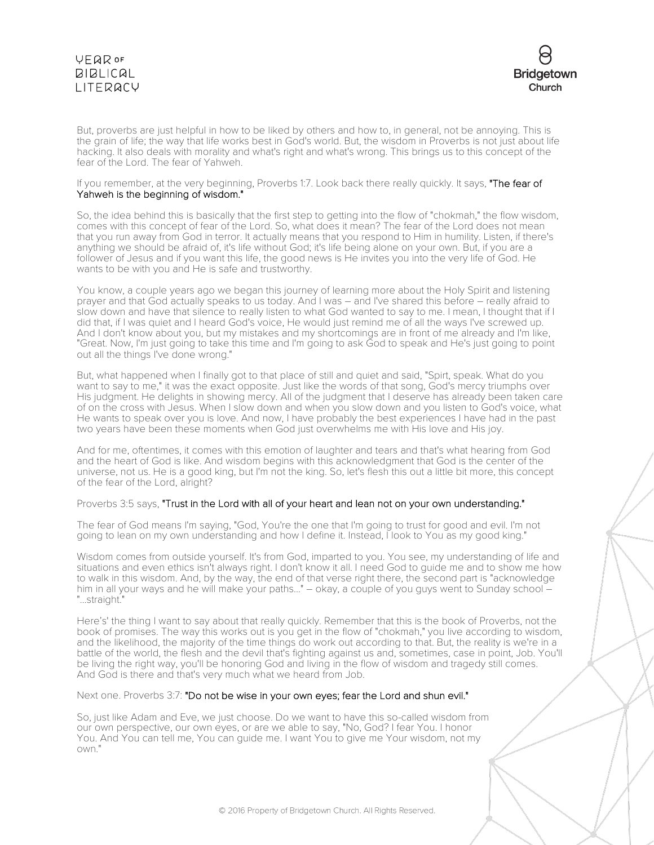

But, proverbs are just helpful in how to be liked by others and how to, in general, not be annoying. This is the grain of life; the way that life works best in God's world. But, the wisdom in Proverbs is not just about life hacking. It also deals with morality and what's right and what's wrong. This brings us to this concept of the fear of the Lord. The fear of Yahweh.

### If you remember, at the very beginning, Proverbs 1:7. Look back there really quickly. It says, "The fear of Yahweh is the beginning of wisdom."

So, the idea behind this is basically that the first step to getting into the flow of "chokmah," the flow wisdom, comes with this concept of fear of the Lord. So, what does it mean? The fear of the Lord does not mean that you run away from God in terror. It actually means that you respond to Him in humility. Listen, if there's anything we should be afraid of, it's life without God; it's life being alone on your own. But, if you are a follower of Jesus and if you want this life, the good news is He invites you into the very life of God. He wants to be with you and He is safe and trustworthy.

You know, a couple years ago we began this journey of learning more about the Holy Spirit and listening prayer and that God actually speaks to us today. And I was – and I've shared this before – really afraid to slow down and have that silence to really listen to what God wanted to say to me. I mean, I thought that if I did that, if I was quiet and I heard God's voice, He would just remind me of all the ways I've screwed up. And I don't know about you, but my mistakes and my shortcomings are in front of me already and I'm like, "Great. Now, I'm just going to take this time and I'm going to ask God to speak and He's just going to point out all the things I've done wrong."

But, what happened when I finally got to that place of still and quiet and said, "Spirt, speak. What do you want to say to me," it was the exact opposite. Just like the words of that song, God's mercy triumphs over His judgment. He delights in showing mercy. All of the judgment that I deserve has already been taken care of on the cross with Jesus. When I slow down and when you slow down and you listen to God's voice, what He wants to speak over you is love. And now, I have probably the best experiences I have had in the past two years have been these moments when God just overwhelms me with His love and His joy.

And for me, oftentimes, it comes with this emotion of laughter and tears and that's what hearing from God and the heart of God is like. And wisdom begins with this acknowledgment that God is the center of the universe, not us. He is a good king, but I'm not the king. So, let's flesh this out a little bit more, this concept of the fear of the Lord, alright?

## Proverbs 3:5 says, "Trust in the Lord with all of your heart and lean not on your own understanding."

The fear of God means I'm saying, "God, You're the one that I'm going to trust for good and evil. I'm not going to lean on my own understanding and how I define it. Instead, I look to You as my good king."

Wisdom comes from outside yourself. It's from God, imparted to you. You see, my understanding of life and situations and even ethics isn't always right. I don't know it all. I need God to guide me and to show me how to walk in this wisdom. And, by the way, the end of that verse right there, the second part is "acknowledge him in all your ways and he will make your paths..." – okay, a couple of you guys went to Sunday school – "...straight."

Here's' the thing I want to say about that really quickly. Remember that this is the book of Proverbs, not the book of promises. The way this works out is you get in the flow of "chokmah," you live according to wisdom, and the likelihood, the majority of the time things do work out according to that. But, the reality is we're in a battle of the world, the flesh and the devil that's fighting against us and, sometimes, case in point, Job. You'll be living the right way, you'll be honoring God and living in the flow of wisdom and tragedy still comes. And God is there and that's very much what we heard from Job.

Next one. Proverbs 3:7: "Do not be wise in your own eyes; fear the Lord and shun evil."

So, just like Adam and Eve, we just choose. Do we want to have this so-called wisdom from our own perspective, our own eyes, or are we able to say, "No, God? I fear You. I honor You. And You can tell me, You can guide me. I want You to give me Your wisdom, not my own."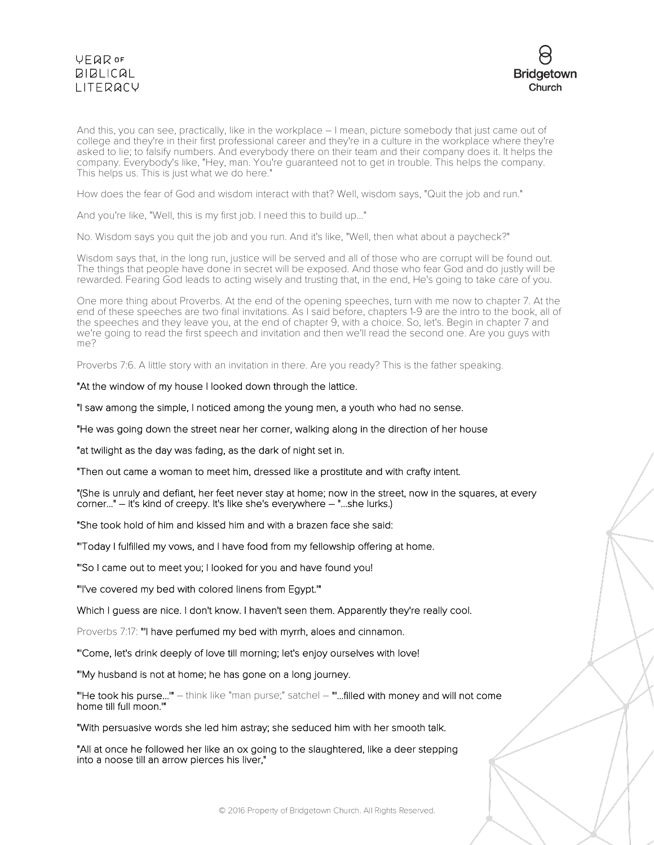

And this, you can see, practically, like in the workplace – I mean, picture somebody that just came out of college and they're in their first professional career and they're in a culture in the workplace where they're asked to lie; to falsify numbers. And everybody there on their team and their company does it. It helps the company. Everybody's like, "Hey, man. You're guaranteed not to get in trouble. This helps the company. This helps us. This is just what we do here."

How does the fear of God and wisdom interact with that? Well, wisdom says, "Quit the job and run."

And you're like, "Well, this is my first job. I need this to build up..."

No. Wisdom says you quit the job and you run. And it's like, "Well, then what about a paycheck?"

Wisdom says that, in the long run, justice will be served and all of those who are corrupt will be found out. The things that people have done in secret will be exposed. And those who fear God and do justly will be rewarded. Fearing God leads to acting wisely and trusting that, in the end, He's going to take care of you.

One more thing about Proverbs. At the end of the opening speeches, turn with me now to chapter 7. At the end of these speeches are two final invitations. As I said before, chapters 1-9 are the intro to the book, all of the speeches and they leave you, at the end of chapter 9, with a choice. So, let's. Begin in chapter 7 and we're going to read the first speech and invitation and then we'll read the second one. Are you guys with me?

Proverbs 7:6. A little story with an invitation in there. Are you ready? This is the father speaking.

"At the window of my house I looked down through the lattice.

"I saw among the simple, I noticed among the young men, a youth who had no sense.

"He was going down the street near her corner, walking along in the direction of her house

"at twilight as the day was fading, as the dark of night set in.

"Then out came a woman to meet him, dressed like a prostitute and with crafty intent.

"(She is unruly and defiant, her feet never stay at home; now in the street, now in the squares, at every corner..." – it's kind of creepy. It's like she's everywhere – "...she lurks.)

"She took hold of him and kissed him and with a brazen face she said:

"'Today I fulfilled my vows, and I have food from my fellowship offering at home.

"'So I came out to meet you; I looked for you and have found you!

"'I've covered my bed with colored linens from Egypt.'"

Which I guess are nice. I don't know. I haven't seen them. Apparently they're really cool.

Proverbs 7:17: "'I have perfumed my bed with myrrh, aloes and cinnamon.

"'Come, let's drink deeply of love till morning; let's enjoy ourselves with love!

"'My husband is not at home; he has gone on a long journey.

"'He took his purse...'" – think like "man purse;" satchel – "'...filled with money and will not come home till full moon.'"

"With persuasive words she led him astray; she seduced him with her smooth talk.

"All at once he followed her like an ox going to the slaughtered, like a deer stepping into a noose till an arrow pierces his liver,"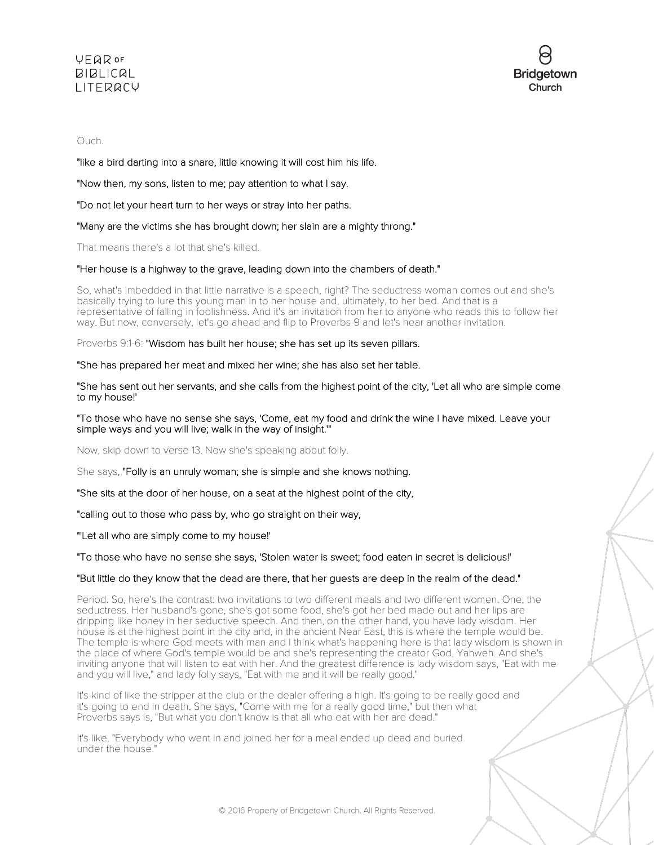

## Ouch.

"like a bird darting into a snare, little knowing it will cost him his life.

"Now then, my sons, listen to me; pay attention to what I say.

"Do not let your heart turn to her ways or stray into her paths.

"Many are the victims she has brought down; her slain are a mighty throng."

That means there's a lot that she's killed.

## "Her house is a highway to the grave, leading down into the chambers of death."

So, what's imbedded in that little narrative is a speech, right? The seductress woman comes out and she's basically trying to lure this young man in to her house and, ultimately, to her bed. And that is a representative of falling in foolishness. And it's an invitation from her to anyone who reads this to follow her way. But now, conversely, let's go ahead and flip to Proverbs 9 and let's hear another invitation.

Proverbs 9:1-6: "Wisdom has built her house; she has set up its seven pillars.

"She has prepared her meat and mixed her wine; she has also set her table.

"She has sent out her servants, and she calls from the highest point of the city, 'Let all who are simple come to my house!'

"To those who have no sense she says, 'Come, eat my food and drink the wine I have mixed. Leave your simple ways and you will live; walk in the way of insight.'"

Now, skip down to verse 13. Now she's speaking about folly.

She says, "Folly is an unruly woman; she is simple and she knows nothing.

"She sits at the door of her house, on a seat at the highest point of the city,

"calling out to those who pass by, who go straight on their way,

"'Let all who are simply come to my house!'

## "To those who have no sense she says, 'Stolen water is sweet; food eaten in secret is delicious!'

## "But little do they know that the dead are there, that her guests are deep in the realm of the dead."

Period. So, here's the contrast: two invitations to two different meals and two different women. One, the seductress. Her husband's gone, she's got some food, she's got her bed made out and her lips are dripping like honey in her seductive speech. And then, on the other hand, you have lady wisdom. Her house is at the highest point in the city and, in the ancient Near East, this is where the temple would be. The temple is where God meets with man and I think what's happening here is that lady wisdom is shown in the place of where God's temple would be and she's representing the creator God, Yahweh. And she's inviting anyone that will listen to eat with her. And the greatest difference is lady wisdom says, "Eat with me and you will live," and lady folly says, "Eat with me and it will be really good."

It's kind of like the stripper at the club or the dealer offering a high. It's going to be really good and it's going to end in death. She says, "Come with me for a really good time," but then what Proverbs says is, "But what you don't know is that all who eat with her are dead."

It's like, "Everybody who went in and joined her for a meal ended up dead and buried under the house."